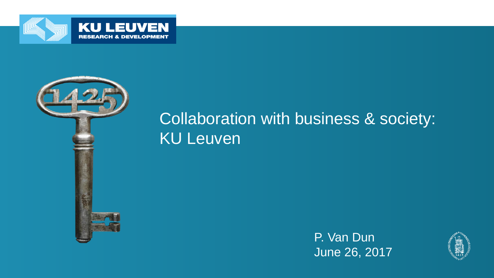



### Collaboration with business & society: KU Leuven

P. Van Dun June 26, 2017

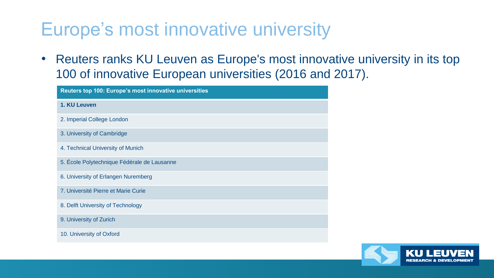# Europe's most innovative university

• Reuters ranks KU Leuven as Europe's most innovative university in its top 100 of innovative European universities (2016 and 2017).

| Reuters top 100: Europe's most innovative universities |
|--------------------------------------------------------|
| 1. KU Leuven                                           |
| 2. Imperial College London                             |
| 3. University of Cambridge                             |
| 4. Technical University of Munich                      |
| 5. École Polytechnique Fédérale de Lausanne            |
| 6. University of Erlangen Nuremberg                    |
| 7. Université Pierre et Marie Curie                    |
| 8. Delft University of Technology                      |
| 9. University of Zurich                                |
| 10. University of Oxford                               |

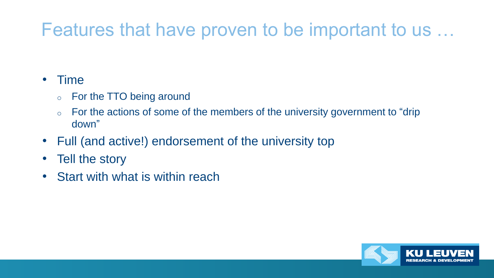# Features that have proven to be important to us …

#### • Time

- o For the TTO being around
- o For the actions of some of the members of the university government to "drip down"
- Full (and active!) endorsement of the university top
- Tell the story
- Start with what is within reach

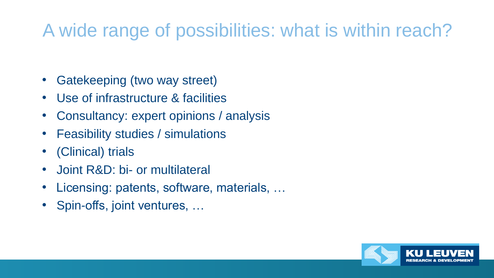# A wide range of possibilities: what is within reach?

- Gatekeeping (two way street)
- Use of infrastructure & facilities
- Consultancy: expert opinions / analysis
- Feasibility studies / simulations
- (Clinical) trials
- Joint R&D: bi- or multilateral
- Licensing: patents, software, materials, …
- Spin-offs, joint ventures, ...

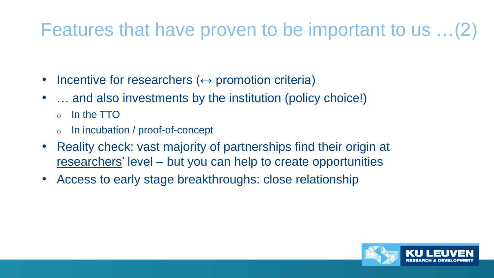# Features that have proven to be important to us …(2)

- Incentive for researchers  $(\leftrightarrow$  promotion criteria)
- ... and also investments by the institution (policy choice!)
	- In the TTO
	- In incubation / proof-of-concept
- Reality check: vast majority of partnerships find their origin at researchers' level – but you can help to create opportunities
- Access to early stage breakthroughs: close relationship

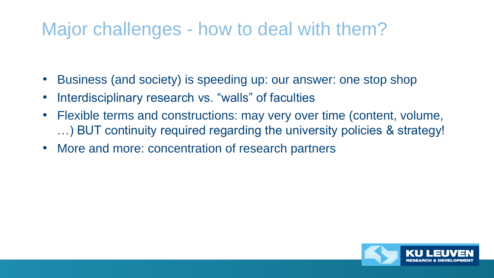## Major challenges - how to deal with them?

- Business (and society) is speeding up: our answer: one stop shop
- Interdisciplinary research vs. "walls" of faculties
- Flexible terms and constructions: may very over time (content, volume, …) BUT continuity required regarding the university policies & strategy!
- More and more: concentration of research partners